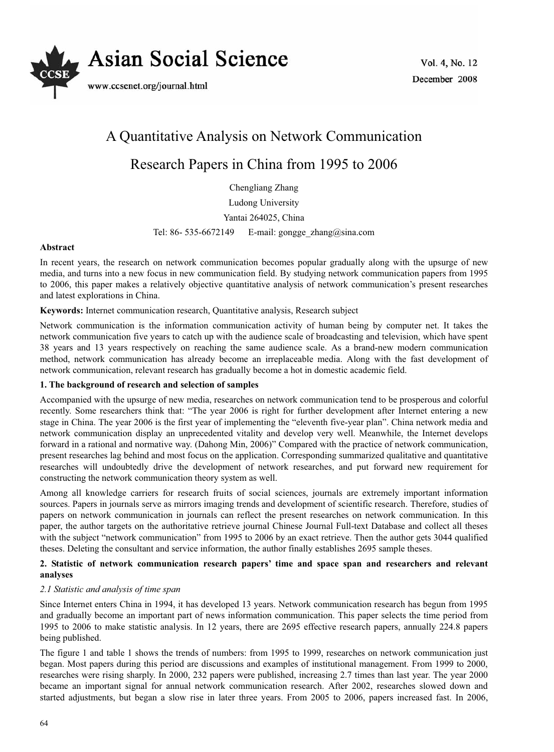

# A Quantitative Analysis on Network Communication

# Research Papers in China from 1995 to 2006

Chengliang Zhang

Ludong University

Yantai 264025, China

Tel: 86- 535-6672149 E-mail: gongge zhang@sina.com

# **Abstract**

In recent years, the research on network communication becomes popular gradually along with the upsurge of new media, and turns into a new focus in new communication field. By studying network communication papers from 1995 to 2006, this paper makes a relatively objective quantitative analysis of network communication's present researches and latest explorations in China.

# **Keywords:** Internet communication research, Quantitative analysis, Research subject

Network communication is the information communication activity of human being by computer net. It takes the network communication five years to catch up with the audience scale of broadcasting and television, which have spent 38 years and 13 years respectively on reaching the same audience scale. As a brand-new modern communication method, network communication has already become an irreplaceable media. Along with the fast development of network communication, relevant research has gradually become a hot in domestic academic field.

# **1. The background of research and selection of samples**

Accompanied with the upsurge of new media, researches on network communication tend to be prosperous and colorful recently. Some researchers think that: "The year 2006 is right for further development after Internet entering a new stage in China. The year 2006 is the first year of implementing the "eleventh five-year plan". China network media and network communication display an unprecedented vitality and develop very well. Meanwhile, the Internet develops forward in a rational and normative way. (Dahong Min, 2006)" Compared with the practice of network communication, present researches lag behind and most focus on the application. Corresponding summarized qualitative and quantitative researches will undoubtedly drive the development of network researches, and put forward new requirement for constructing the network communication theory system as well.

Among all knowledge carriers for research fruits of social sciences, journals are extremely important information sources. Papers in journals serve as mirrors imaging trends and development of scientific research. Therefore, studies of papers on network communication in journals can reflect the present researches on network communication. In this paper, the author targets on the authoritative retrieve journal Chinese Journal Full-text Database and collect all theses with the subject "network communication" from 1995 to 2006 by an exact retrieve. Then the author gets 3044 qualified theses. Deleting the consultant and service information, the author finally establishes 2695 sample theses.

# **2. Statistic of network communication research papers' time and space span and researchers and relevant analyses**

# *2.1 Statistic and analysis of time span*

Since Internet enters China in 1994, it has developed 13 years. Network communication research has begun from 1995 and gradually become an important part of news information communication. This paper selects the time period from 1995 to 2006 to make statistic analysis. In 12 years, there are 2695 effective research papers, annually 224.8 papers being published.

The figure 1 and table 1 shows the trends of numbers: from 1995 to 1999, researches on network communication just began. Most papers during this period are discussions and examples of institutional management. From 1999 to 2000, researches were rising sharply. In 2000, 232 papers were published, increasing 2.7 times than last year. The year 2000 became an important signal for annual network communication research. After 2002, researches slowed down and started adjustments, but began a slow rise in later three years. From 2005 to 2006, papers increased fast. In 2006,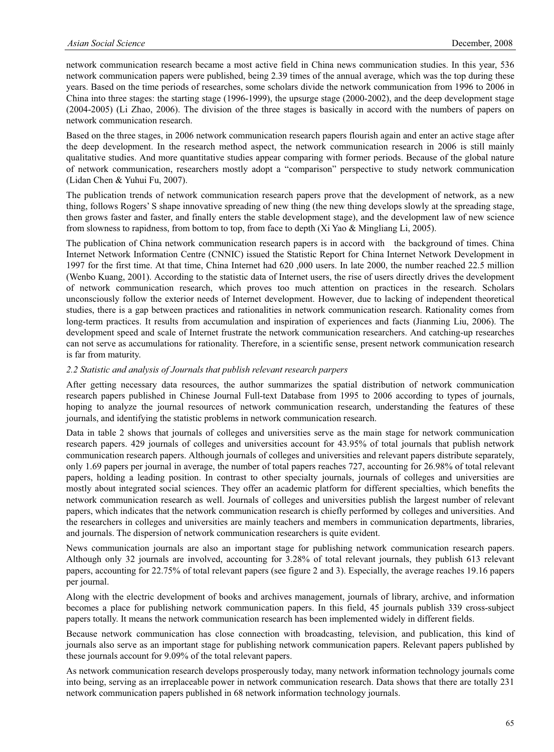network communication research became a most active field in China news communication studies. In this year, 536 network communication papers were published, being 2.39 times of the annual average, which was the top during these years. Based on the time periods of researches, some scholars divide the network communication from 1996 to 2006 in China into three stages: the starting stage (1996-1999), the upsurge stage (2000-2002), and the deep development stage (2004-2005) (Li Zhao, 2006). The division of the three stages is basically in accord with the numbers of papers on network communication research.

Based on the three stages, in 2006 network communication research papers flourish again and enter an active stage after the deep development. In the research method aspect, the network communication research in 2006 is still mainly qualitative studies. And more quantitative studies appear comparing with former periods. Because of the global nature of network communication, researchers mostly adopt a "comparison" perspective to study network communication (Lidan Chen & Yuhui Fu, 2007).

The publication trends of network communication research papers prove that the development of network, as a new thing, follows Rogers' S shape innovative spreading of new thing (the new thing develops slowly at the spreading stage, then grows faster and faster, and finally enters the stable development stage), and the development law of new science from slowness to rapidness, from bottom to top, from face to depth (Xi Yao & Mingliang Li, 2005).

The publication of China network communication research papers is in accord with the background of times. China Internet Network Information Centre (CNNIC) issued the Statistic Report for China Internet Network Development in 1997 for the first time. At that time, China Internet had 620 ,000 users. In late 2000, the number reached 22.5 million (Wenbo Kuang, 2001). According to the statistic data of Internet users, the rise of users directly drives the development of network communication research, which proves too much attention on practices in the research. Scholars unconsciously follow the exterior needs of Internet development. However, due to lacking of independent theoretical studies, there is a gap between practices and rationalities in network communication research. Rationality comes from long-term practices. It results from accumulation and inspiration of experiences and facts (Jianming Liu, 2006). The development speed and scale of Internet frustrate the network communication researchers. And catching-up researches can not serve as accumulations for rationality. Therefore, in a scientific sense, present network communication research is far from maturity.

## *2.2 Statistic and analysis of Journals that publish relevant research parpers*

After getting necessary data resources, the author summarizes the spatial distribution of network communication research papers published in Chinese Journal Full-text Database from 1995 to 2006 according to types of journals, hoping to analyze the journal resources of network communication research, understanding the features of these journals, and identifying the statistic problems in network communication research.

Data in table 2 shows that journals of colleges and universities serve as the main stage for network communication research papers. 429 journals of colleges and universities account for 43.95% of total journals that publish network communication research papers. Although journals of colleges and universities and relevant papers distribute separately, only 1.69 papers per journal in average, the number of total papers reaches 727, accounting for 26.98% of total relevant papers, holding a leading position. In contrast to other specialty journals, journals of colleges and universities are mostly about integrated social sciences. They offer an academic platform for different specialties, which benefits the network communication research as well. Journals of colleges and universities publish the largest number of relevant papers, which indicates that the network communication research is chiefly performed by colleges and universities. And the researchers in colleges and universities are mainly teachers and members in communication departments, libraries, and journals. The dispersion of network communication researchers is quite evident.

News communication journals are also an important stage for publishing network communication research papers. Although only 32 journals are involved, accounting for 3.28% of total relevant journals, they publish 613 relevant papers, accounting for 22.75% of total relevant papers (see figure 2 and 3). Especially, the average reaches 19.16 papers per journal.

Along with the electric development of books and archives management, journals of library, archive, and information becomes a place for publishing network communication papers. In this field, 45 journals publish 339 cross-subject papers totally. It means the network communication research has been implemented widely in different fields.

Because network communication has close connection with broadcasting, television, and publication, this kind of journals also serve as an important stage for publishing network communication papers. Relevant papers published by these journals account for 9.09% of the total relevant papers.

As network communication research develops prosperously today, many network information technology journals come into being, serving as an irreplaceable power in network communication research. Data shows that there are totally 231 network communication papers published in 68 network information technology journals.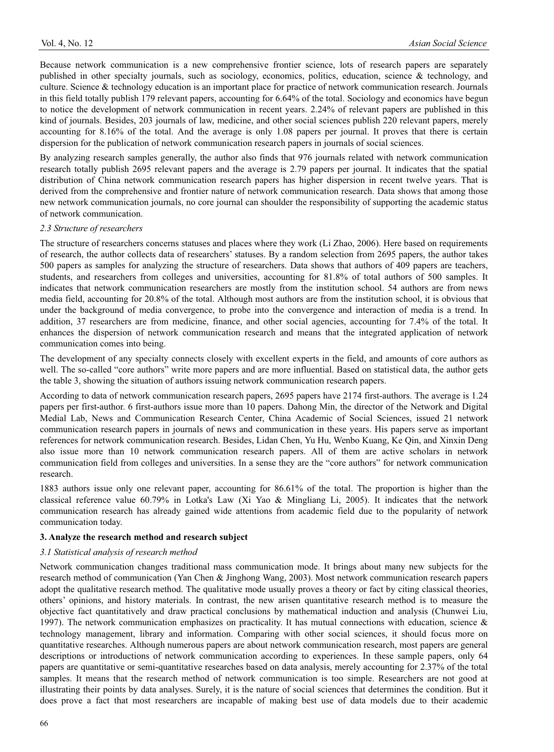Because network communication is a new comprehensive frontier science, lots of research papers are separately published in other specialty journals, such as sociology, economics, politics, education, science & technology, and culture. Science & technology education is an important place for practice of network communication research. Journals in this field totally publish 179 relevant papers, accounting for 6.64% of the total. Sociology and economics have begun to notice the development of network communication in recent years. 2.24% of relevant papers are published in this kind of journals. Besides, 203 journals of law, medicine, and other social sciences publish 220 relevant papers, merely accounting for 8.16% of the total. And the average is only 1.08 papers per journal. It proves that there is certain dispersion for the publication of network communication research papers in journals of social sciences.

By analyzing research samples generally, the author also finds that 976 journals related with network communication research totally publish 2695 relevant papers and the average is 2.79 papers per journal. It indicates that the spatial distribution of China network communication research papers has higher dispersion in recent twelve years. That is derived from the comprehensive and frontier nature of network communication research. Data shows that among those new network communication journals, no core journal can shoulder the responsibility of supporting the academic status of network communication.

## *2.3 Structure of researchers*

The structure of researchers concerns statuses and places where they work (Li Zhao, 2006). Here based on requirements of research, the author collects data of researchers' statuses. By a random selection from 2695 papers, the author takes 500 papers as samples for analyzing the structure of researchers. Data shows that authors of 409 papers are teachers, students, and researchers from colleges and universities, accounting for 81.8% of total authors of 500 samples. It indicates that network communication researchers are mostly from the institution school. 54 authors are from news media field, accounting for 20.8% of the total. Although most authors are from the institution school, it is obvious that under the background of media convergence, to probe into the convergence and interaction of media is a trend. In addition, 37 researchers are from medicine, finance, and other social agencies, accounting for 7.4% of the total. It enhances the dispersion of network communication research and means that the integrated application of network communication comes into being.

The development of any specialty connects closely with excellent experts in the field, and amounts of core authors as well. The so-called "core authors" write more papers and are more influential. Based on statistical data, the author gets the table 3, showing the situation of authors issuing network communication research papers.

According to data of network communication research papers, 2695 papers have 2174 first-authors. The average is 1.24 papers per first-author. 6 first-authors issue more than 10 papers. Dahong Min, the director of the Network and Digital Medial Lab, News and Communication Research Center, China Academic of Social Sciences, issued 21 network communication research papers in journals of news and communication in these years. His papers serve as important references for network communication research. Besides, Lidan Chen, Yu Hu, Wenbo Kuang, Ke Qin, and Xinxin Deng also issue more than 10 network communication research papers. All of them are active scholars in network communication field from colleges and universities. In a sense they are the "core authors" for network communication research.

1883 authors issue only one relevant paper, accounting for 86.61% of the total. The proportion is higher than the classical reference value 60.79% in Lotka's Law (Xi Yao & Mingliang Li, 2005). It indicates that the network communication research has already gained wide attentions from academic field due to the popularity of network communication today.

#### **3. Analyze the research method and research subject**

#### *3.1 Statistical analysis of research method*

Network communication changes traditional mass communication mode. It brings about many new subjects for the research method of communication (Yan Chen & Jinghong Wang, 2003). Most network communication research papers adopt the qualitative research method. The qualitative mode usually proves a theory or fact by citing classical theories, others' opinions, and history materials. In contrast, the new arisen quantitative research method is to measure the objective fact quantitatively and draw practical conclusions by mathematical induction and analysis (Chunwei Liu, 1997). The network communication emphasizes on practicality. It has mutual connections with education, science  $\&$ technology management, library and information. Comparing with other social sciences, it should focus more on quantitative researches. Although numerous papers are about network communication research, most papers are general descriptions or introductions of network communication according to experiences. In these sample papers, only 64 papers are quantitative or semi-quantitative researches based on data analysis, merely accounting for 2.37% of the total samples. It means that the research method of network communication is too simple. Researchers are not good at illustrating their points by data analyses. Surely, it is the nature of social sciences that determines the condition. But it does prove a fact that most researchers are incapable of making best use of data models due to their academic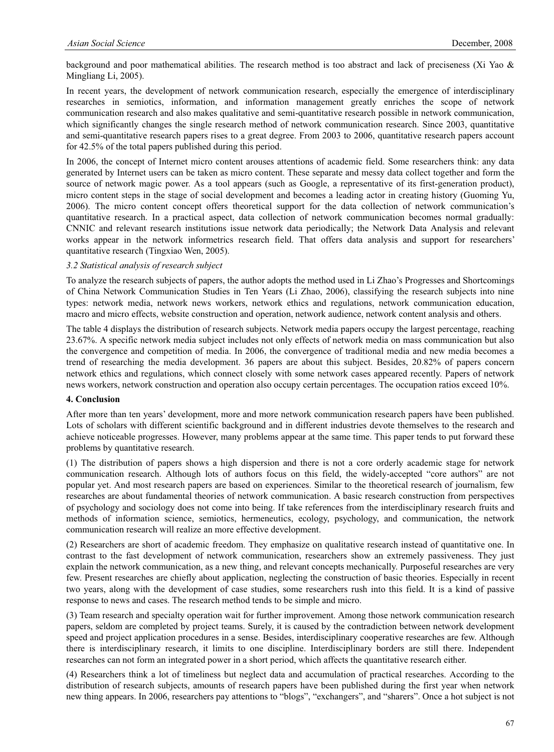background and poor mathematical abilities. The research method is too abstract and lack of preciseness (Xi Yao & Mingliang Li, 2005).

In recent years, the development of network communication research, especially the emergence of interdisciplinary researches in semiotics, information, and information management greatly enriches the scope of network communication research and also makes qualitative and semi-quantitative research possible in network communication, which significantly changes the single research method of network communication research. Since 2003, quantitative and semi-quantitative research papers rises to a great degree. From 2003 to 2006, quantitative research papers account for 42.5% of the total papers published during this period.

In 2006, the concept of Internet micro content arouses attentions of academic field. Some researchers think: any data generated by Internet users can be taken as micro content. These separate and messy data collect together and form the source of network magic power. As a tool appears (such as Google, a representative of its first-generation product), micro content steps in the stage of social development and becomes a leading actor in creating history (Guoming Yu, 2006). The micro content concept offers theoretical support for the data collection of network communication's quantitative research. In a practical aspect, data collection of network communication becomes normal gradually: CNNIC and relevant research institutions issue network data periodically; the Network Data Analysis and relevant works appear in the network informetrics research field. That offers data analysis and support for researchers' quantitative research (Tingxiao Wen, 2005).

## *3.2 Statistical analysis of research subject*

To analyze the research subjects of papers, the author adopts the method used in Li Zhao's Progresses and Shortcomings of China Network Communication Studies in Ten Years (Li Zhao, 2006), classifying the research subjects into nine types: network media, network news workers, network ethics and regulations, network communication education, macro and micro effects, website construction and operation, network audience, network content analysis and others.

The table 4 displays the distribution of research subjects. Network media papers occupy the largest percentage, reaching 23.67%. A specific network media subject includes not only effects of network media on mass communication but also the convergence and competition of media. In 2006, the convergence of traditional media and new media becomes a trend of researching the media development. 36 papers are about this subject. Besides, 20.82% of papers concern network ethics and regulations, which connect closely with some network cases appeared recently. Papers of network news workers, network construction and operation also occupy certain percentages. The occupation ratios exceed 10%.

## **4. Conclusion**

After more than ten years' development, more and more network communication research papers have been published. Lots of scholars with different scientific background and in different industries devote themselves to the research and achieve noticeable progresses. However, many problems appear at the same time. This paper tends to put forward these problems by quantitative research.

(1) The distribution of papers shows a high dispersion and there is not a core orderly academic stage for network communication research. Although lots of authors focus on this field, the widely-accepted "core authors" are not popular yet. And most research papers are based on experiences. Similar to the theoretical research of journalism, few researches are about fundamental theories of network communication. A basic research construction from perspectives of psychology and sociology does not come into being. If take references from the interdisciplinary research fruits and methods of information science, semiotics, hermeneutics, ecology, psychology, and communication, the network communication research will realize an more effective development.

(2) Researchers are short of academic freedom. They emphasize on qualitative research instead of quantitative one. In contrast to the fast development of network communication, researchers show an extremely passiveness. They just explain the network communication, as a new thing, and relevant concepts mechanically. Purposeful researches are very few. Present researches are chiefly about application, neglecting the construction of basic theories. Especially in recent two years, along with the development of case studies, some researchers rush into this field. It is a kind of passive response to news and cases. The research method tends to be simple and micro.

(3) Team research and specialty operation wait for further improvement. Among those network communication research papers, seldom are completed by project teams. Surely, it is caused by the contradiction between network development speed and project application procedures in a sense. Besides, interdisciplinary cooperative researches are few. Although there is interdisciplinary research, it limits to one discipline. Interdisciplinary borders are still there. Independent researches can not form an integrated power in a short period, which affects the quantitative research either.

(4) Researchers think a lot of timeliness but neglect data and accumulation of practical researches. According to the distribution of research subjects, amounts of research papers have been published during the first year when network new thing appears. In 2006, researchers pay attentions to "blogs", "exchangers", and "sharers". Once a hot subject is not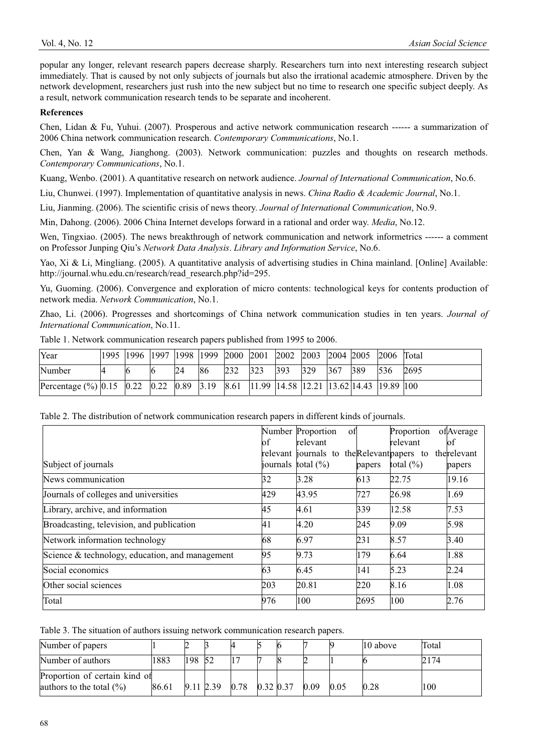popular any longer, relevant research papers decrease sharply. Researchers turn into next interesting research subject immediately. That is caused by not only subjects of journals but also the irrational academic atmosphere. Driven by the network development, researchers just rush into the new subject but no time to research one specific subject deeply. As a result, network communication research tends to be separate and incoherent.

## **References**

Chen, Lidan & Fu, Yuhui. (2007). Prosperous and active network communication research ------ a summarization of 2006 China network communication research. *Contemporary Communications*, No.1.

Chen, Yan & Wang, Jianghong. (2003). Network communication: puzzles and thoughts on research methods. *Contemporary Communications*, No.1.

Kuang, Wenbo. (2001). A quantitative research on network audience. *Journal of International Communication*, No.6.

Liu, Chunwei. (1997). Implementation of quantitative analysis in news. *China Radio & Academic Journal*, No.1.

Liu, Jianming. (2006). The scientific crisis of news theory. *Journal of International Communication*, No.9.

Min, Dahong. (2006). 2006 China Internet develops forward in a rational and order way. *Media*, No.12.

Wen, Tingxiao. (2005). The news breakthrough of network communication and network informetrics ------ a comment on Professor Junping Qiu's *Network Data Analysis*. *Library and Information Service*, No.6.

Yao, Xi & Li, Mingliang. (2005). A quantitative analysis of advertising studies in China mainland. [Online] Available: http://journal.whu.edu.cn/research/read\_research.php?id=295.

Yu, Guoming. (2006). Convergence and exploration of micro contents: technological keys for contents production of network media. *Network Communication*, No.1.

Zhao, Li. (2006). Progresses and shortcomings of China network communication studies in ten years. *Journal of International Communication*, No.11.

| Year                                                                                                                                                                                                                                                                               | 1995  1996  1997  1998  1999  2000  2001 |   |    |     |     |               |     |     |     | $\vert 2002 \vert 2003 \vert 2004 \vert 2005 \vert 2006 \vert$ Total |             |      |
|------------------------------------------------------------------------------------------------------------------------------------------------------------------------------------------------------------------------------------------------------------------------------------|------------------------------------------|---|----|-----|-----|---------------|-----|-----|-----|----------------------------------------------------------------------|-------------|------|
| Number                                                                                                                                                                                                                                                                             | 16                                       | Ю | 24 | 186 | 232 | $ 323\rangle$ | 393 | 329 | 367 | 389                                                                  | $\vert$ 536 | 2695 |
| Percentage (%) $ 0.15 \t  0.22 \t  0.22 \t  0.89 \t  3.19 \t  8.61 \t  11.99 \t  14.58 \t  12.21 \t  13.62 \t  14.43 \t  19.89 \t  100 \t  10.69 \t  10.69 \t  10.69 \t  10.69 \t  10.69 \t  10.69 \t  10.69 \t  10.69 \t  10.69 \t  10.69 \t  10.69 \t  10.69 \t  10.69 \t  10.6$ |                                          |   |    |     |     |               |     |     |     |                                                                      |             |      |

Table 1. Network communication research papers published from 1995 to 2006.

|  |  |  | Table 2. The distribution of network communication research papers in different kinds of journals. |  |
|--|--|--|----------------------------------------------------------------------------------------------------|--|
|  |  |  |                                                                                                    |  |

|                                                 | lof | Number Proportion<br>of<br>relevant                                         |        | Proportion<br>relevant | ofAverage<br>lof. |
|-------------------------------------------------|-----|-----------------------------------------------------------------------------|--------|------------------------|-------------------|
| Subject of journals                             |     | relevant informals to the Relevant papers to<br>journals $\text{total}(\%)$ |        | total $(\%)$           | therelevant       |
|                                                 |     |                                                                             | papers |                        | papers            |
| News communication                              | 32  | 3.28                                                                        | 613    | 22.75                  | 19.16             |
| Journals of colleges and universities           | 429 | 43.95                                                                       | 727    | 26.98                  | 1.69              |
| Library, archive, and information               | 45  | 4.61                                                                        | 339    | 12.58                  | 7.53              |
| Broadcasting, television, and publication       | 41  | 4.20                                                                        | 245    | 9.09                   | 5.98              |
| Network information technology                  | 68  | 6.97                                                                        | 231    | 8.57                   | 3.40              |
| Science & technology, education, and management | 95  | 9.73                                                                        | 179    | 6.64                   | 1.88              |
| Social economics                                | 63  | 6.45                                                                        | 141    | 5.23                   | 2.24              |
| Other social sciences                           | 203 | 20.81                                                                       | 220    | 8.16                   | 1.08              |
| Total                                           | 976 | 100                                                                         | 2695   | 100                    | 2.76              |

Table 3. The situation of authors issuing network communication research papers.

| Number of papers                                              |       |             |      |             |      |      | 10 above | Total |
|---------------------------------------------------------------|-------|-------------|------|-------------|------|------|----------|-------|
| Number of authors                                             | 1883  | 198 52      |      |             |      |      |          | 2174  |
| Proportion of certain kind of<br>authors to the total $(\% )$ | 86.61 | $9.11$ 2.39 | 0.78 | $0.32$ 0.37 | 0.09 | 0.05 | 0.28     | 100   |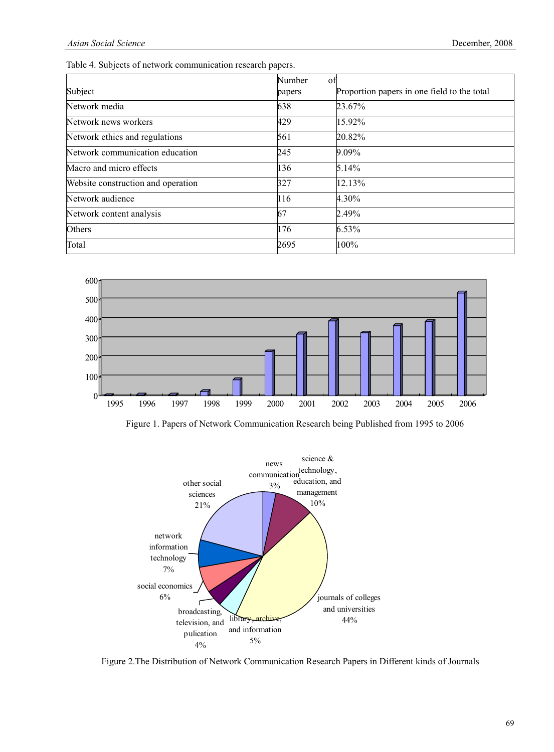Table 4. Subjects of network communication research papers.

| Subject                            | Number<br>of<br>papers | Proportion papers in one field to the total |
|------------------------------------|------------------------|---------------------------------------------|
| Network media                      | 638                    | 23.67%                                      |
| Network news workers               | 429                    | 15.92%                                      |
| Network ethics and regulations     | 561                    | 20.82%                                      |
| Network communication education    | 245                    | 9.09%                                       |
| Macro and micro effects            | 136                    | 5.14%                                       |
| Website construction and operation | 327                    | 12.13%                                      |
| Network audience                   | 116                    | 4.30%                                       |
| Network content analysis           | 67                     | 2.49%                                       |
| Others                             | 176                    | 6.53%                                       |
| Total                              | 2695                   | 100%                                        |



Figure 1. Papers of Network Communication Research being Published from 1995 to 2006



Figure 2.The Distribution of Network Communication Research Papers in Different kinds of Journals